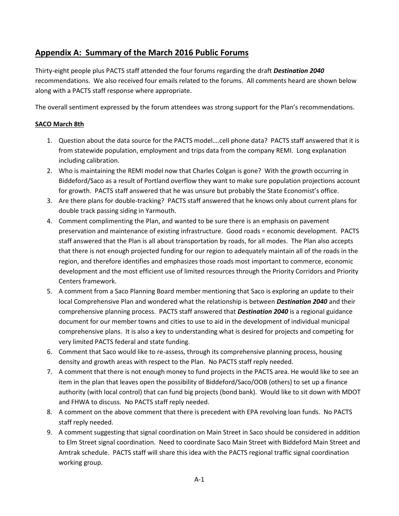# **Appendix A: Summary of the March 2016 Public Forums**

Thirty-eight people plus PACTS staff attended the four forums regarding the draft *Destination 2040* recommendations. We also received four emails related to the forums. All comments heard are shown below along with a PACTS staff response where appropriate.

The overall sentiment expressed by the forum attendees was strong support for the Plan's recommendations.

## **SACO March 8th**

- 1. Question about the data source for the PACTS model….cell phone data? PACTS staff answered that it is from statewide population, employment and trips data from the company REMI. Long explanation including calibration.
- 2. Who is maintaining the REMI model now that Charles Colgan is gone? With the growth occurring in Biddeford/Saco as a result of Portland overflow they want to make sure population projections account for growth. PACTS staff answered that he was unsure but probably the State Economist's office.
- 3. Are there plans for double-tracking? PACTS staff answered that he knows only about current plans for double track passing siding in Yarmouth.
- 4. Comment complimenting the Plan, and wanted to be sure there is an emphasis on pavement preservation and maintenance of existing infrastructure. Good roads = economic development. PACTS staff answered that the Plan is all about transportation by roads, for all modes. The Plan also accepts that there is not enough projected funding for our region to adequately maintain all of the roads in the region, and therefore identifies and emphasizes those roads most important to commerce, economic development and the most efficient use of limited resources through the Priority Corridors and Priority Centers framework.
- 5. A comment from a Saco Planning Board member mentioning that Saco is exploring an update to their local Comprehensive Plan and wondered what the relationship is between *Destination 2040* and their comprehensive planning process. PACTS staff answered that *Destination 2040* is a regional guidance document for our member towns and cities to use to aid in the development of individual municipal comprehensive plans. It is also a key to understanding what is desired for projects and competing for very limited PACTS federal and state funding.
- 6. Comment that Saco would like to re-assess, through its comprehensive planning process, housing density and growth areas with respect to the Plan. No PACTS staff reply needed.
- 7. A comment that there is not enough money to fund projects in the PACTS area. He would like to see an item in the plan that leaves open the possibility of Biddeford/Saco/OOB (others) to set up a finance authority (with local control) that can fund big projects (bond bank). Would like to sit down with MDOT and FHWA to discuss. No PACTS staff reply needed.
- 8. A comment on the above comment that there is precedent with EPA revolving loan funds. No PACTS staff reply needed.
- 9. A comment suggesting that signal coordination on Main Street in Saco should be considered in addition to Elm Street signal coordination. Need to coordinate Saco Main Street with Biddeford Main Street and Amtrak schedule. PACTS staff will share this idea with the PACTS regional traffic signal coordination working group.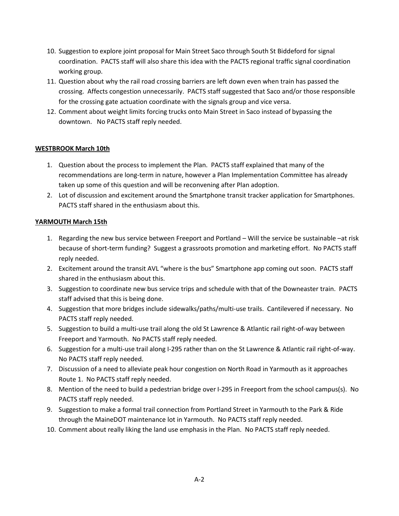- 10. Suggestion to explore joint proposal for Main Street Saco through South St Biddeford for signal coordination. PACTS staff will also share this idea with the PACTS regional traffic signal coordination working group.
- 11. Question about why the rail road crossing barriers are left down even when train has passed the crossing. Affects congestion unnecessarily. PACTS staff suggested that Saco and/or those responsible for the crossing gate actuation coordinate with the signals group and vice versa.
- 12. Comment about weight limits forcing trucks onto Main Street in Saco instead of bypassing the downtown. No PACTS staff reply needed.

## **WESTBROOK March 10th**

- 1. Question about the process to implement the Plan. PACTS staff explained that many of the recommendations are long-term in nature, however a Plan Implementation Committee has already taken up some of this question and will be reconvening after Plan adoption.
- 2. Lot of discussion and excitement around the Smartphone transit tracker application for Smartphones. PACTS staff shared in the enthusiasm about this.

## **YARMOUTH March 15th**

- 1. Regarding the new bus service between Freeport and Portland Will the service be sustainable –at risk because of short-term funding? Suggest a grassroots promotion and marketing effort. No PACTS staff reply needed.
- 2. Excitement around the transit AVL "where is the bus" Smartphone app coming out soon. PACTS staff shared in the enthusiasm about this.
- 3. Suggestion to coordinate new bus service trips and schedule with that of the Downeaster train. PACTS staff advised that this is being done.
- 4. Suggestion that more bridges include sidewalks/paths/multi-use trails. Cantilevered if necessary. No PACTS staff reply needed.
- 5. Suggestion to build a multi-use trail along the old St Lawrence & Atlantic rail right-of-way between Freeport and Yarmouth. No PACTS staff reply needed.
- 6. Suggestion for a multi-use trail along I-295 rather than on the St Lawrence & Atlantic rail right-of-way. No PACTS staff reply needed.
- 7. Discussion of a need to alleviate peak hour congestion on North Road in Yarmouth as it approaches Route 1. No PACTS staff reply needed.
- 8. Mention of the need to build a pedestrian bridge over I-295 in Freeport from the school campus(s). No PACTS staff reply needed.
- 9. Suggestion to make a formal trail connection from Portland Street in Yarmouth to the Park & Ride through the MaineDOT maintenance lot in Yarmouth. No PACTS staff reply needed.
- 10. Comment about really liking the land use emphasis in the Plan. No PACTS staff reply needed.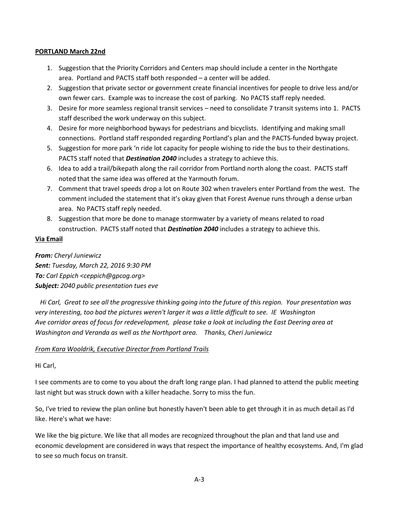#### **PORTLAND March 22nd**

- 1. Suggestion that the Priority Corridors and Centers map should include a center in the Northgate area. Portland and PACTS staff both responded – a center will be added.
- 2. Suggestion that private sector or government create financial incentives for people to drive less and/or own fewer cars. Example was to increase the cost of parking. No PACTS staff reply needed.
- 3. Desire for more seamless regional transit services need to consolidate 7 transit systems into 1. PACTS staff described the work underway on this subject.
- 4. Desire for more neighborhood byways for pedestrians and bicyclists. Identifying and making small connections. Portland staff responded regarding Portland's plan and the PACTS-funded byway project.
- 5. Suggestion for more park 'n ride lot capacity for people wishing to ride the bus to their destinations. PACTS staff noted that *Destination 2040* includes a strategy to achieve this.
- 6. Idea to add a trail/bikepath along the rail corridor from Portland north along the coast. PACTS staff noted that the same idea was offered at the Yarmouth forum.
- 7. Comment that travel speeds drop a lot on Route 302 when travelers enter Portland from the west. The comment included the statement that it's okay given that Forest Avenue runs through a dense urban area. No PACTS staff reply needed.
- 8. Suggestion that more be done to manage stormwater by a variety of means related to road construction. PACTS staff noted that *Destination 2040* includes a strategy to achieve this.

#### **Via Email**

## *From: Cheryl Juniewicz Sent: Tuesday, March 22, 2016 9:30 PM To: Carl Eppich <ceppich@gpcog.org> Subject: 2040 public presentation tues eve*

*Hi Carl, Great to see all the progressive thinking going into the future of this region. Your presentation was very interesting, too bad the pictures weren't larger it was a little difficult to see. IE Washington Ave corridor areas of focus for redevelopment, please take a look at including the East Deering area at Washington and Veranda as well as the Northport area. Thanks, Cheri Juniewicz* 

#### *From Kara Wooldrik, Executive Director from Portland Trails*

#### Hi Carl,

I see comments are to come to you about the draft long range plan. I had planned to attend the public meeting last night but was struck down with a killer headache. Sorry to miss the fun.

So, I've tried to review the plan online but honestly haven't been able to get through it in as much detail as I'd like. Here's what we have:

We like the big picture. We like that all modes are recognized throughout the plan and that land use and economic development are considered in ways that respect the importance of healthy ecosystems. And, I'm glad to see so much focus on transit.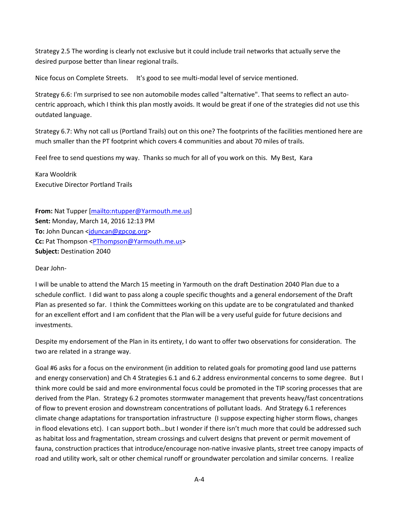Strategy 2.5 The wording is clearly not exclusive but it could include trail networks that actually serve the desired purpose better than linear regional trails.

Nice focus on Complete Streets. It's good to see multi-modal level of service mentioned.

Strategy 6.6: I'm surprised to see non automobile modes called "alternative". That seems to reflect an autocentric approach, which I think this plan mostly avoids. It would be great if one of the strategies did not use this outdated language.

Strategy 6.7: Why not call us (Portland Trails) out on this one? The footprints of the facilities mentioned here are much smaller than the PT footprint which covers 4 communities and about 70 miles of trails.

Feel free to send questions my way. Thanks so much for all of you work on this. My Best, Kara

Kara Wooldrik Executive Director Portland Trails

**From:** Nat Tupper [\[mailto:ntupper@Yarmouth.me.us\]](mailto:ntupper@Yarmouth.me.us) **Sent:** Monday, March 14, 2016 12:13 PM **To:** John Duncan [<jduncan@gpcog.org>](mailto:jduncan@gpcog.org) **Cc:** Pat Thompson <**PThompson@Yarmouth.me.us> Subject:** Destination 2040

Dear John-

I will be unable to attend the March 15 meeting in Yarmouth on the draft Destination 2040 Plan due to a schedule conflict. I did want to pass along a couple specific thoughts and a general endorsement of the Draft Plan as presented so far. I think the Committees working on this update are to be congratulated and thanked for an excellent effort and I am confident that the Plan will be a very useful guide for future decisions and investments.

Despite my endorsement of the Plan in its entirety, I do want to offer two observations for consideration. The two are related in a strange way.

Goal #6 asks for a focus on the environment (in addition to related goals for promoting good land use patterns and energy conservation) and Ch 4 Strategies 6.1 and 6.2 address environmental concerns to some degree. But I think more could be said and more environmental focus could be promoted in the TIP scoring processes that are derived from the Plan. Strategy 6.2 promotes stormwater management that prevents heavy/fast concentrations of flow to prevent erosion and downstream concentrations of pollutant loads. And Strategy 6.1 references climate change adaptations for transportation infrastructure (I suppose expecting higher storm flows, changes in flood elevations etc). I can support both…but I wonder if there isn't much more that could be addressed such as habitat loss and fragmentation, stream crossings and culvert designs that prevent or permit movement of fauna, construction practices that introduce/encourage non-native invasive plants, street tree canopy impacts of road and utility work, salt or other chemical runoff or groundwater percolation and similar concerns. I realize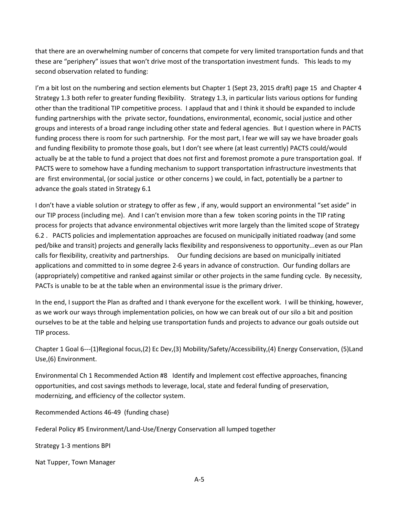that there are an overwhelming number of concerns that compete for very limited transportation funds and that these are "periphery" issues that won't drive most of the transportation investment funds. This leads to my second observation related to funding:

I'm a bit lost on the numbering and section elements but Chapter 1 (Sept 23, 2015 draft) page 15 and Chapter 4 Strategy 1.3 both refer to greater funding flexibility. Strategy 1.3, in particular lists various options for funding other than the traditional TIP competitive process. I applaud that and I think it should be expanded to include funding partnerships with the private sector, foundations, environmental, economic, social justice and other groups and interests of a broad range including other state and federal agencies. But I question where in PACTS funding process there is room for such partnership. For the most part, I fear we will say we have broader goals and funding flexibility to promote those goals, but I don't see where (at least currently) PACTS could/would actually be at the table to fund a project that does not first and foremost promote a pure transportation goal. If PACTS were to somehow have a funding mechanism to support transportation infrastructure investments that are first environmental, (or social justice or other concerns ) we could, in fact, potentially be a partner to advance the goals stated in Strategy 6.1

I don't have a viable solution or strategy to offer as few , if any, would support an environmental "set aside" in our TIP process (including me). And I can't envision more than a few token scoring points in the TIP rating process for projects that advance environmental objectives writ more largely than the limited scope of Strategy 6.2 . PACTS policies and implementation approaches are focused on municipally initiated roadway (and some ped/bike and transit) projects and generally lacks flexibility and responsiveness to opportunity...even as our Plan calls for flexibility, creativity and partnerships. Our funding decisions are based on municipally initiated applications and committed to in some degree 2-6 years in advance of construction. Our funding dollars are (appropriately) competitive and ranked against similar or other projects in the same funding cycle. By necessity, PACTs is unable to be at the table when an environmental issue is the primary driver.

In the end, I support the Plan as drafted and I thank everyone for the excellent work. I will be thinking, however, as we work our ways through implementation policies, on how we can break out of our silo a bit and position ourselves to be at the table and helping use transportation funds and projects to advance our goals outside out TIP process.

Chapter 1 Goal 6---(1)Regional focus,(2) Ec Dev,(3) Mobility/Safety/Accessibility,(4) Energy Conservation, (5)Land Use,(6) Environment.

Environmental Ch 1 Recommended Action #8 Identify and Implement cost effective approaches, financing opportunities, and cost savings methods to leverage, local, state and federal funding of preservation, modernizing, and efficiency of the collector system.

Recommended Actions 46-49 (funding chase)

Federal Policy #5 Environment/Land-Use/Energy Conservation all lumped together

Strategy 1-3 mentions BPI

Nat Tupper, Town Manager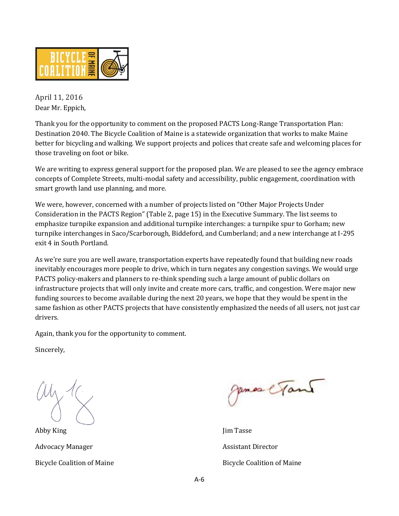

April 11, 2016 Dear Mr. Eppich,

Thank you for the opportunity to comment on the proposed PACTS Long-Range Transportation Plan: Destination 2040. The Bicycle Coalition of Maine is a statewide organization that works to make Maine better for bicycling and walking. We support projects and polices that create safe and welcoming places for those traveling on foot or bike.

We are writing to express general support for the proposed plan. We are pleased to see the agency embrace concepts of Complete Streets, multi-modal safety and accessibility, public engagement, coordination with smart growth land use planning, and more.

We were, however, concerned with a number of projects listed on "Other Major Projects Under Consideration in the PACTS Region" (Table 2, page 15) in the Executive Summary. The list seems to emphasize turnpike expansion and additional turnpike interchanges: a turnpike spur to Gorham; new turnpike interchanges in Saco/Scarborough, Biddeford, and Cumberland; and a new interchange at I-295 exit 4 in South Portland.

As we're sure you are well aware, transportation experts have repeatedly found that building new roads inevitably encourages more people to drive, which in turn negates any congestion savings. We would urge PACTS policy-makers and planners to re-think spending such a large amount of public dollars on infrastructure projects that will only invite and create more cars, traffic, and congestion. Were major new funding sources to become available during the next 20 years, we hope that they would be spent in the same fashion as other PACTS projects that have consistently emphasized the needs of all users, not just car drivers.

Again, thank you for the opportunity to comment.

Sincerely,

Abby King Jim Tasse Advocacy Manager **Assistant Director** Assistant Director

James e Tand

Bicycle Coalition of Maine **Bicycle Coalition of Maine** Bicycle Coalition of Maine